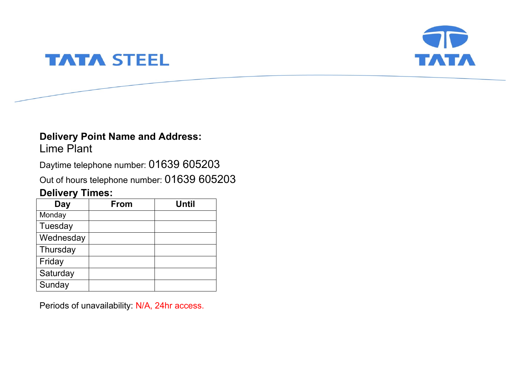

# **TATA STEEL**

# **Delivery Point Name and Address:**

Lime Plant

Daytime telephone number: 01639 605203

Out of hours telephone number: 01639 605203

# **Delivery Times:**

| Day       | <b>From</b> | <b>Until</b> |
|-----------|-------------|--------------|
| Monday    |             |              |
| Tuesday   |             |              |
| Wednesday |             |              |
| Thursday  |             |              |
| Friday    |             |              |
| Saturday  |             |              |
| Sunday    |             |              |

Periods of unavailability: N/A, 24hr access.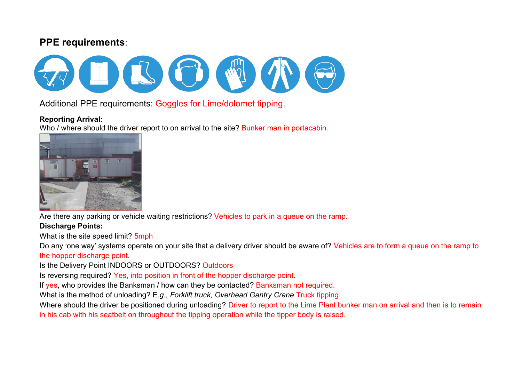## **PPE requirements**:



Additional PPE requirements: Goggles for Lime/dolomet tipping.

### **Reporting Arrival:**

Who / where should the driver report to on arrival to the site? Bunker man in portacabin.



Are there any parking or vehicle waiting restrictions? Vehicles to park in a queue on the ramp.

## **Discharge Points:**

What is the site speed limit? 5mph

Do any 'one way' systems operate on your site that a delivery driver should be aware of? Vehicles are to form a queue on the ramp to the hopper discharge point.

Is the Delivery Point INDOORS or OUTDOORS? Outdoors

Is reversing required? Yes, into position in front of the hopper discharge point.

If yes, who provides the Banksman / how can they be contacted? Banksman not required.

What is the method of unloading? E*.g., Forklift truck, Overhead Gantry Crane* Truck tipping.

Where should the driver be positioned during unloading? Driver to report to the Lime Plant bunker man on arrival and then is to remain in his cab with his seatbelt on throughout the tipping operation while the tipper body is raised.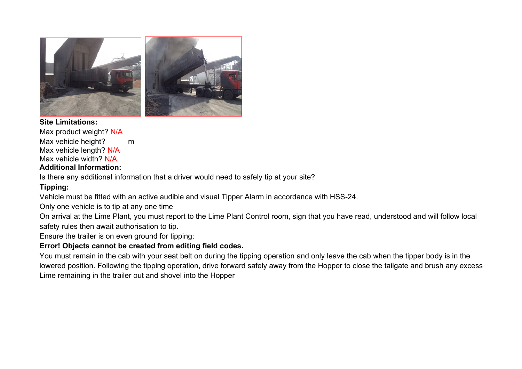

**Site Limitations:** Max product weight? N/A Max vehicle height? m Max vehicle length? N/A Max vehicle width? N/A **Additional Information:**

Is there any additional information that a driver would need to safely tip at your site?

### **Tipping:**

Vehicle must be fitted with an active audible and visual Tipper Alarm in accordance with HSS-24.

Only one vehicle is to tip at any one time

On arrival at the Lime Plant, you must report to the Lime Plant Control room, sign that you have read, understood and will follow local safety rules then await authorisation to tip.

Ensure the trailer is on even ground for tipping:

### **Error! Objects cannot be created from editing field codes.**

You must remain in the cab with your seat belt on during the tipping operation and only leave the cab when the tipper body is in the lowered position. Following the tipping operation, drive forward safely away from the Hopper to close the tailgate and brush any excess Lime remaining in the trailer out and shovel into the Hopper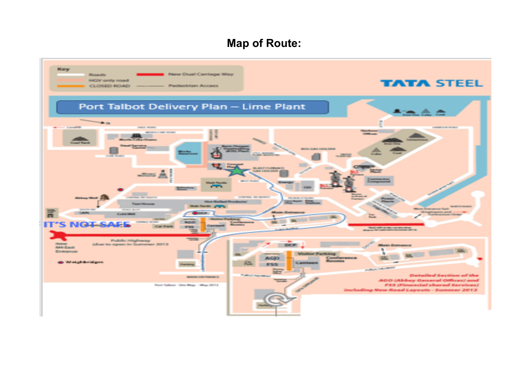# **Map of Route:**

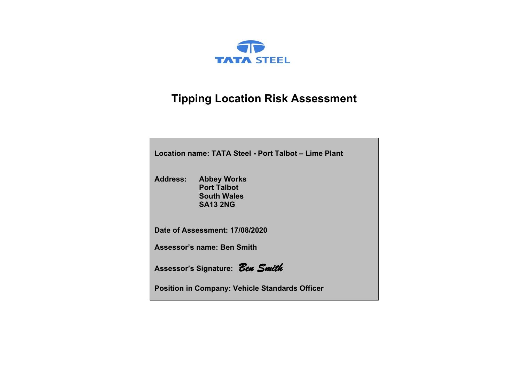

# **Tipping Location Risk Assessment**

| Location name: TATA Steel - Port Talbot – Lime Plant |                                                                                   |  |  |  |  |  |  |  |  |  |
|------------------------------------------------------|-----------------------------------------------------------------------------------|--|--|--|--|--|--|--|--|--|
| <b>Address:</b>                                      | <b>Abbey Works</b><br><b>Port Talbot</b><br><b>South Wales</b><br><b>SA13 2NG</b> |  |  |  |  |  |  |  |  |  |
|                                                      | Date of Assessment: 17/08/2020                                                    |  |  |  |  |  |  |  |  |  |
|                                                      | <b>Assessor's name: Ben Smith</b>                                                 |  |  |  |  |  |  |  |  |  |
| Assessor's Signature: Ben Smith                      |                                                                                   |  |  |  |  |  |  |  |  |  |
|                                                      | <b>Position in Company: Vehicle Standards Officer</b>                             |  |  |  |  |  |  |  |  |  |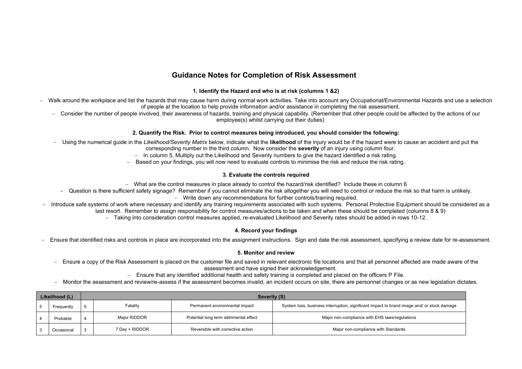### **Guidance Notes for Completion of Risk Assessment**

#### **1. Identify the Hazard and who is at risk (columns 1 &2)**

- − Walk around the workplace and list the hazards that may cause harm during normal work activities. Take into account any Occupational/Environmental Hazards and use a selection of people at the location to help provide information and/or assistance in completing the risk assessment.
	- − Consider the number of people involved, their awareness of hazards, training and physical capability. (Remember that other people could be affected by the actions of our employee(s) whilst carrying out their duties)

#### **2. Quantify the Risk. Prior to control measures being introduced, you should consider the following:**

- − Using the numerical guide in the *Likelihood/Severity Matrix* below, indicate what the **likelihood** of the injury would be if the hazard were to cause an accident and put the
	- corresponding number in the third column. Now consider the **severity** of an injury using column four.
	- − In column 5, Multiply out the Likelihood and Severity numbers to give the hazard identified a risk rating.
	- − Based on your findings, you will now need to evaluate controls to minimise the risk and reduce the risk rating.

#### **3. Evaluate the controls required**

- − What are the control measures in place already to control the hazard/risk identified? Include these in column 6
- − Question is there sufficient safety signage? Remember if you cannot eliminate the risk altogether you will need to control or reduce the risk so that harm is unlikely.
	- − Write down any recommendations for further controls/training required.
- − Introduce safe systems of work where necessary and identify any training requirements associated with such systems. Personal Protective Equipment should be considered as a last resort. Remember to assign responsibility for control measures/actions to be taken and when these should be completed (columns 8 & 9)
	- − Taking into consideration control measures applied, re-evaluated Likelihood and Severity rates should be added in rows 10-12.

### **4. Record your findings**

− Ensure that identified risks and controls in place are incorporated into the assignment instructions. Sign and date the risk assessment, specifying a review date for re-assessment.

### **5. Monitor and review**

- − Ensure a copy of the Risk Assessment is placed on the customer file and saved in relevant electronic file locations and that all personnel affected are made aware of the assessment and have signed their acknowledgement.
	- − Ensure that any identified additional health and safety training is completed and placed on the officers P File.
- − Monitor the assessment and review/re-assess if the assessment becomes invalid, an incident occurs on site, there are personnel changes or as new legislation dictates.

| Likelihood (L) |            |     |                | Severity (S)                           |                                                                                            |
|----------------|------------|-----|----------------|----------------------------------------|--------------------------------------------------------------------------------------------|
|                | Freauentlv | . ප | Fatality       | Permanent environmental impact         | System loss, business interruption, significant impact to brand image and/ or stock damage |
|                | Probable   |     | Major RIDDOR   | Potential long term detrimental effect | Major non-compliance with EHS laws/regulations                                             |
|                | Occasional |     | 7 Day + RIDDOR | Reversible with corrective action      | Major non-compliance with Standards                                                        |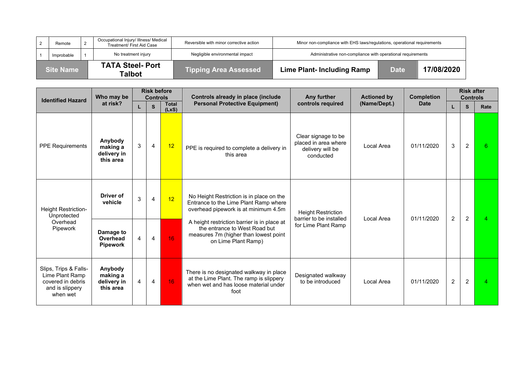| <b>Site Name</b> |  | <b>TATA Steel-Port</b><br>Talbot                                   | <b>Tipping Area Assessed</b>            | <b>Lime Plant- Including Ramp</b>                                        | <b>Date</b> | 17/08/2020 |  |  |
|------------------|--|--------------------------------------------------------------------|-----------------------------------------|--------------------------------------------------------------------------|-------------|------------|--|--|
| Improbable       |  | No treatment injury                                                | Negligible environmental impact         | Administrative non-compliance with operational requirements              |             |            |  |  |
| Remote           |  | Occupational Injury/ Illness/ Medical<br>Treatment/ First Aid Case | Reversible with minor corrective action | Minor non-compliance with EHS laws/regulations, operational requirements |             |            |  |  |

| <b>Identified Hazard</b>                                                                     | Who may be                                      |   | <b>Risk before</b><br><b>Controls</b> |                       | Controls already in place (include                                                                                                           | Any further                                                                  | <b>Actioned by</b> | <b>Completion</b> |                | <b>Risk after</b><br><b>Controls</b> |                |
|----------------------------------------------------------------------------------------------|-------------------------------------------------|---|---------------------------------------|-----------------------|----------------------------------------------------------------------------------------------------------------------------------------------|------------------------------------------------------------------------------|--------------------|-------------------|----------------|--------------------------------------|----------------|
|                                                                                              | at risk?                                        | L | S                                     | <b>Total</b><br>(LxS) | <b>Personal Protective Equipment)</b>                                                                                                        | controls required                                                            | (Name/Dept.)       | <b>Date</b>       | L              | S                                    | Rate           |
| <b>PPE Requirements</b>                                                                      | Anybody<br>making a<br>delivery in<br>this area | 3 | $\overline{4}$                        | 12                    | PPE is required to complete a delivery in<br>this area                                                                                       | Clear signage to be<br>placed in area where<br>delivery will be<br>conducted | Local Area         | 01/11/2020        | 3              | 2                                    | 6              |
| Height Restriction-<br>Unprotected<br>Overhead<br>Pipework                                   | Driver of<br>vehicle                            | 3 | 4                                     | 12                    | No Height Restriction is in place on the<br>Entrance to the Lime Plant Ramp where<br>overhead pipework is at minimum 4.5m                    | <b>Height Restriction</b><br>barrier to be installed                         | Local Area         | 01/11/2020        | $\overline{2}$ | $\overline{2}$                       | $\overline{4}$ |
|                                                                                              | Damage to<br>Overhead<br><b>Pipework</b>        | 4 | 4                                     | 16                    | A height restriction barrier is in place at<br>the entrance to West Road but<br>measures 7m (higher than lowest point<br>on Lime Plant Ramp) | for Lime Plant Ramp                                                          |                    |                   |                |                                      |                |
| Slips, Trips & Falls-<br>Lime Plant Ramp<br>covered in debris<br>and is slippery<br>when wet | Anybody<br>making a<br>delivery in<br>this area | 4 | 4                                     | 16 <sub>1</sub>       | There is no designated walkway in place<br>at the Lime Plant. The ramp is slippery<br>when wet and has loose material under<br>foot          | Designated walkway<br>to be introduced                                       | Local Area         | 01/11/2020        | $\overline{2}$ | $\overline{2}$                       | $\overline{4}$ |